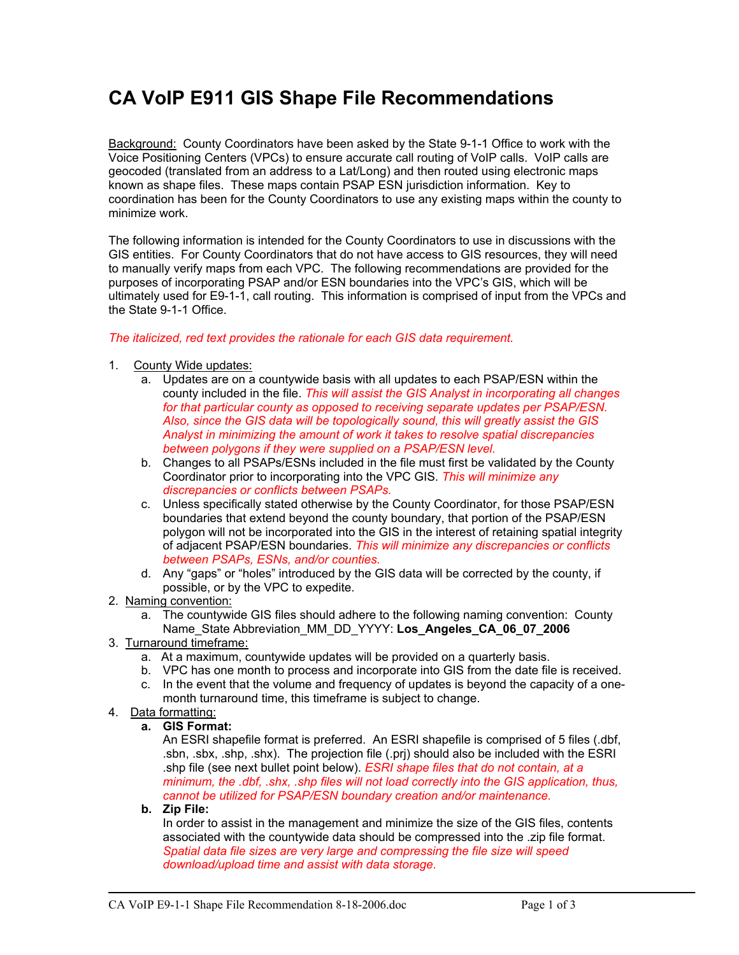# **CA VoIP E911 GIS Shape File Recommendations**

Background: County Coordinators have been asked by the State 9-1-1 Office to work with the Voice Positioning Centers (VPCs) to ensure accurate call routing of VoIP calls. VoIP calls are geocoded (translated from an address to a Lat/Long) and then routed using electronic maps known as shape files. These maps contain PSAP ESN jurisdiction information. Key to coordination has been for the County Coordinators to use any existing maps within the county to minimize work.

The following information is intended for the County Coordinators to use in discussions with the GIS entities. For County Coordinators that do not have access to GIS resources, they will need to manually verify maps from each VPC. The following recommendations are provided for the purposes of incorporating PSAP and/or ESN boundaries into the VPC's GIS, which will be ultimately used for E9-1-1, call routing. This information is comprised of input from the VPCs and the State 9-1-1 Office.

#### *The italicized, red text provides the rationale for each GIS data requirement.*

- 1. County Wide updates:
	- a. Updates are on a countywide basis with all updates to each PSAP/ESN within the county included in the file. *This will assist the GIS Analyst in incorporating all changes for that particular county as opposed to receiving separate updates per PSAP/ESN. Also, since the GIS data will be topologically sound, this will greatly assist the GIS Analyst in minimizing the amount of work it takes to resolve spatial discrepancies between polygons if they were supplied on a PSAP/ESN level.*
	- b. Changes to all PSAPs/ESNs included in the file must first be validated by the County Coordinator prior to incorporating into the VPC GIS. *This will minimize any discrepancies or conflicts between PSAPs.*
	- c. Unless specifically stated otherwise by the County Coordinator, for those PSAP/ESN boundaries that extend beyond the county boundary, that portion of the PSAP/ESN polygon will not be incorporated into the GIS in the interest of retaining spatial integrity of adjacent PSAP/ESN boundaries. *This will minimize any discrepancies or conflicts between PSAPs, ESNs, and/or counties.*
	- d. Any "gaps" or "holes" introduced by the GIS data will be corrected by the county, if possible, or by the VPC to expedite.
- 2. Naming convention:
	- a. The countywide GIS files should adhere to the following naming convention: County Name\_State Abbreviation\_MM\_DD\_YYYY: **Los\_Angeles\_CA\_06\_07\_2006**
- 3. Turnaround timeframe:
	- a. At a maximum, countywide updates will be provided on a quarterly basis.
	- b. VPC has one month to process and incorporate into GIS from the date file is received.
	- c. In the event that the volume and frequency of updates is beyond the capacity of a onemonth turnaround time, this timeframe is subject to change.
- 4. Data formatting:

#### **a. GIS Format:**

An ESRI shapefile format is preferred. An ESRI shapefile is comprised of 5 files (.dbf, .sbn, .sbx, .shp, .shx). The projection file (.prj) should also be included with the ESRI .shp file (see next bullet point below). *ESRI shape files that do not contain, at a minimum, the .dbf, .shx, .shp files will not load correctly into the GIS application, thus, cannot be utilized for PSAP/ESN boundary creation and/or maintenance.*

#### **b. Zip File:**

In order to assist in the management and minimize the size of the GIS files, contents associated with the countywide data should be compressed into the .zip file format. *Spatial data file sizes are very large and compressing the file size will speed download/upload time and assist with data storage.*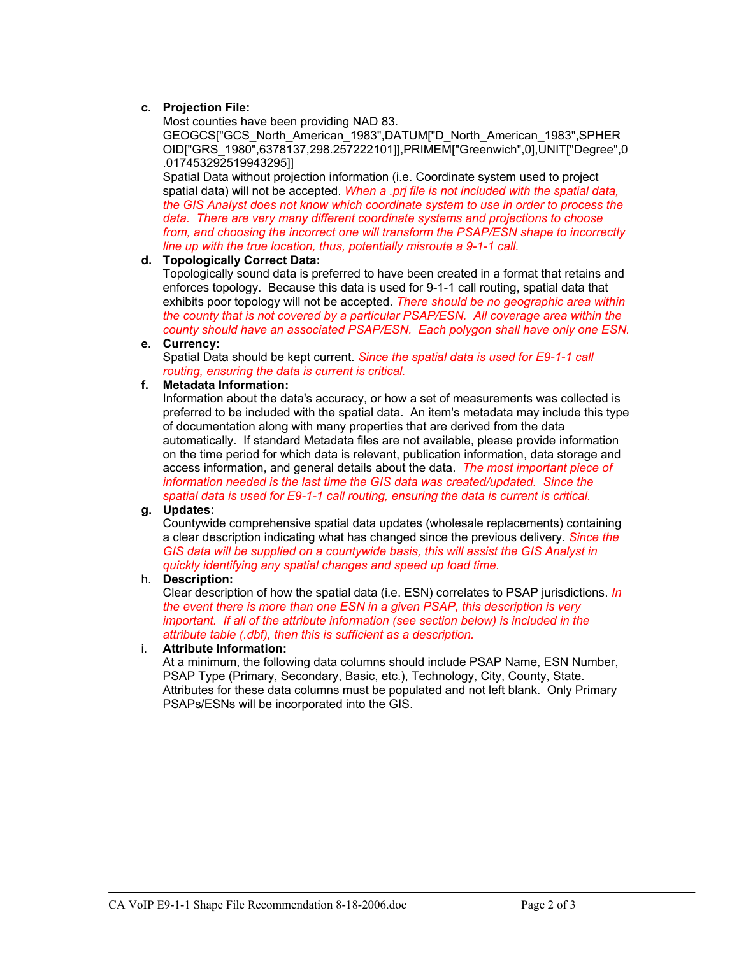#### **c. Projection File:**

Most counties have been providing NAD 83.

GEOGCS["GCS\_North\_American\_1983",DATUM["D\_North\_American\_1983",SPHER OID["GRS\_1980",6378137,298.257222101]],PRIMEM["Greenwich",0],UNIT["Degree",0 .017453292519943295]]

Spatial Data without projection information (i.e. Coordinate system used to project spatial data) will not be accepted. *When a .prj file is not included with the spatial data, the GIS Analyst does not know which coordinate system to use in order to process the data. There are very many different coordinate systems and projections to choose from, and choosing the incorrect one will transform the PSAP/ESN shape to incorrectly line up with the true location, thus, potentially misroute a 9-1-1 call.* 

#### **d. Topologically Correct Data:**

Topologically sound data is preferred to have been created in a format that retains and enforces topology. Because this data is used for 9-1-1 call routing, spatial data that exhibits poor topology will not be accepted. *There should be no geographic area within the county that is not covered by a particular PSAP/ESN. All coverage area within the county should have an associated PSAP/ESN. Each polygon shall have only one ESN.* 

#### **e. Currency:**

Spatial Data should be kept current. *Since the spatial data is used for E9-1-1 call routing, ensuring the data is current is critical.* 

#### **f. Metadata Information:**

Information about the data's accuracy, or how a set of measurements was collected is preferred to be included with the spatial data. An item's metadata may include this type of documentation along with many properties that are derived from the data automatically. If standard Metadata files are not available, please provide information on the time period for which data is relevant, publication information, data storage and access information, and general details about the data. *The most important piece of information needed is the last time the GIS data was created/updated. Since the spatial data is used for E9-1-1 call routing, ensuring the data is current is critical.*

#### **g. Updates:**

Countywide comprehensive spatial data updates (wholesale replacements) containing a clear description indicating what has changed since the previous delivery. *Since the GIS data will be supplied on a countywide basis, this will assist the GIS Analyst in quickly identifying any spatial changes and speed up load time.* 

#### h. **Description:**

Clear description of how the spatial data (i.e. ESN) correlates to PSAP jurisdictions. *In the event there is more than one ESN in a given PSAP, this description is very important.* If all of the attribute information (see section below) is included in the *attribute table (.dbf), then this is sufficient as a description.* 

#### i. **Attribute Information:**

At a minimum, the following data columns should include PSAP Name, ESN Number, PSAP Type (Primary, Secondary, Basic, etc.), Technology, City, County, State. Attributes for these data columns must be populated and not left blank. Only Primary PSAPs/ESNs will be incorporated into the GIS.